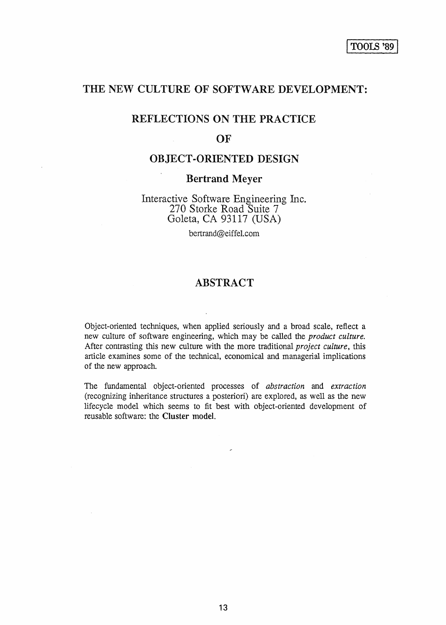# THE NEW CULTURE OF SOFTWARE DEVELOPMENT:

# REFLECTIONS ON THE PRACTICE

## **OF**

# OBJECT-ORIENTED DESIGN

## Bertrand Meyer

Interactive Software Engineering Inc. 270 Storke Road Suite 7 Goleta, CA 93117 (USA)

bertrand@eiffel.com

# ABSTRACT

Object-oriented techniques, when applied seriously and a broad scale, reflect a new culture of software engineering, which may be called the *product culture.*  After contrasting this new culture with the more traditional *project culture,* this article examines some of the technical, economical and managerial implications of the new approach.

The fundamental object-oriented processes of *abstraction* and *extraction*  (recognizing inheritance structures a posteriori) are explored, as well as the new lifecycle model which seems to fit best with object-oriented development of reusable software: the Cluster model.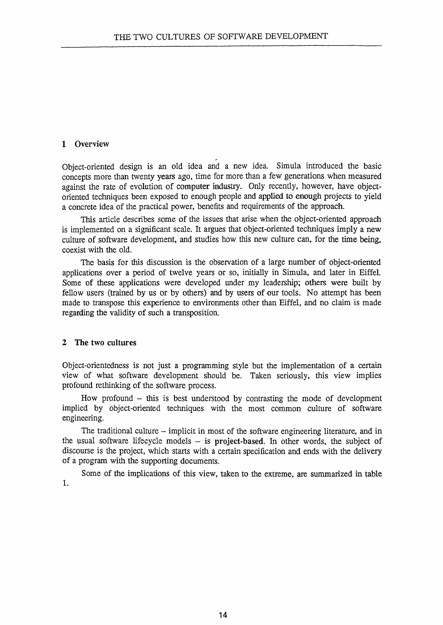## 1 Overview

Object-oriented design is an old idea and a new idea. Simula introduced the basic concepts more than twenty years ago, time for more than a few generations when measured against the rate of evolution of computer industry. Only recently, however, have objectoriented techniques been exposed to enough people and applied to enough projects to yield a concrete idea of the practical power, benefits and requirements of the approach.

This article describes some of the issues that arise when the object-oriented approach is implemented on a significant scale. It argues that object-oriented techniques imply a new culture of software development, and studies how this new culture can, for the time being, coexist with the old.

The basis for this discussion is the observation of a large number of object-oriented applications over a period of twelve years or so, initially in Simula, and later in Eiffel. Some of these applications were developed under my leadership; others were built by fellow users (trained by us or by others) and by users of our tools. No attempt has been made to transpose this experience to environments other than Eiffel, and no claim is made regarding the validity of such a transposition.

#### 2 The two cultures

Object-orientedness is not just a programming style but the implementation of a certain view of what software development should be. Taken seriously, this view implies profound rethinking of the software process.

How profound  $-$  this is best understood by contrasting the mode of development implied by object-oriented techniques with the most common culture of software engineering.

The traditional culture – implicit in most of the software engineering literature, and in the usual software lifecycle models  $-$  is project-based. In other words, the subject of discourse is the project, which starts with a certain specification and ends with the delivery of a program with the supporting documents.

Some of the implications of this view, taken to the extreme, are summarized in table 1.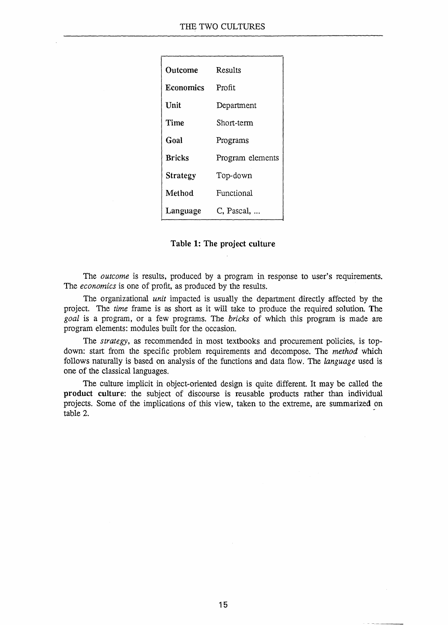| Outcome         | Results          |
|-----------------|------------------|
| Economics       | Profit           |
| Unit            | Department       |
| Time            | Short-term       |
| Goal            | Programs         |
| <b>Bricks</b>   | Program elements |
| <b>Strategy</b> | Top-down         |
| Method          | Functional       |
| Language        | C, Pascal,       |

Table 1: The project culture

The *outcome* is results, produced by a program in response to user's requirements. The *economics* is one of profit, as produced by the results.

The organizational *unit* impacted is usually the department directly affected by the project. The *time* frame is as short as it will take to produce the required solution. The *goal* is a pro gram, or a few programs. The *bricks* of which this program is made are program elements: modules built for the occasion.

The *strategy*, as recommended in most textbooks and procurement policies, is topdown: start from the specific problem requirements and decompose. The *method* which follows naturally is based on analysis of the functions and data flow. The *language* used is one of the classical languages.

The culture implicit in object-oriented design is quite different. It may be called the product culture: the subject of discourse is reusable products rather than individual projects. Some of the implications of this view, taken to the extreme, are summarized on table 2. -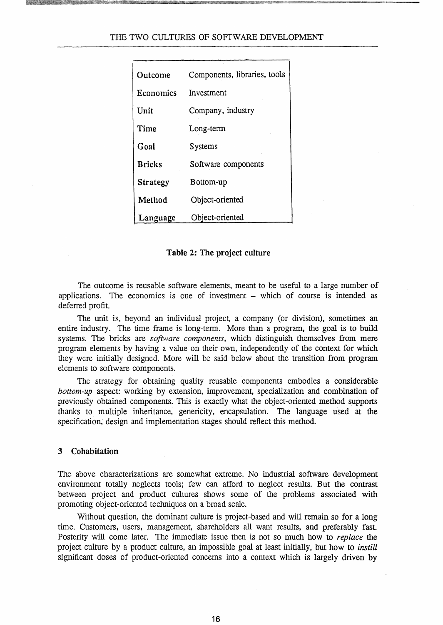#### THE TWO CULTURES OF SOFTWARE DEVELOPMENT

| Outcome         | Components, libraries, tools |
|-----------------|------------------------------|
| Economics       | Investment                   |
| Unit            | Company, industry            |
| Time            | Long-term                    |
| Goal            | <b>Systems</b>               |
| <b>Bricks</b>   | Software components          |
| <b>Strategy</b> | Bottom-up                    |
| Method          | Object-oriented              |
| Language        | Object-oriented              |

#### Table 2: The project culture

The outcome is reusable software elements, meant to be useful to a large number of applications. The economics is one of investment - which of course is intended as deferred profit.

The unit is, beyond an individual project, a company (or division), sometimes an entire industry. The time frame is long-term. More than a program, the goal is to build systems. The bricks are *software components,* which distinguish themselves from mere program elements by having a value on their own, independently of the context for which they were initially designed. More will be said below about the transition from program elements to software components.

The strategy for obtaining quality reusable components embodies a considerable *bottom-up* aspect: working by extension, improvement, specialization and combination of previously obtained components. This is exactly what the object-oriented method supports thanks to multiple inheritance, genericity, encapsulation. The language used at the specification, design and implementation stages should reflect this method.

### 3 Cohabitation

The above characterizations are somewhat extreme. No industrial software development environment totally neglects tools; few can afford to neglect results. But the contrast between project and product cultures shows some of the problems associated with promoting object-oriented techniques on a broad scale.

Without question, the dominant culture is project-based and will remain so for a long time. Customers, users, management, shareholders all want results, and preferably fast. Posterity will come later. The immediate issue then is not so much how to *replace* the project culture by a product culture, an impossible goal at least initially, but how to *instill*  significant doses of product-oriented concerns into a context which is largely driven by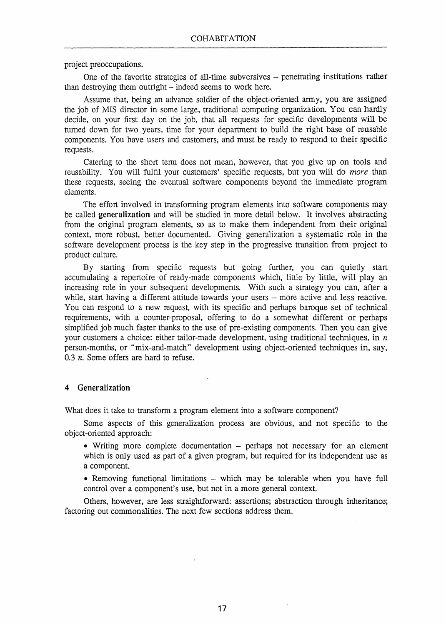project preoccupations.

One of the favorite strategies of all-time subversives – penetrating institutions rather than destroying them outright – indeed seems to work here.

Assume that, being an advance soldier of the object-oriented anny, you are assigned the job of MIS director in some large, traditional computing organization. You can hardly decide, on your first day on the job, that all requests for specific developments will be turned down for two years, time for your department to build the right base of reusable components. You have users and customers; and must be ready to respond to their specific requests.

Catering to the short tenn does not mean, however, that you give up on tools and reusability. You will fulfil your customers' specific requests, but you will do more than these requests, seeing the eventual software components beyond the immediate program elements.

The effort involved in transforming program elements into software components may be called generalization and will be studied in more detail below. It involves abstracting from the original program elements, so as to make them independent from their original context, more robust, better documented. Giving generalization a systematic role in the software development process is the key step in the progressive transition from project to product culture.

By starting from specific requests but going further, you can quietly start accumulating a repertoire of ready-made components which, little by little, will play an increasing role in your subsequent developments. With such a strategy you can, after a while, start having a different attitude towards your users – more active and less reactive. You can respond to a new request, with its specific and perhaps baroque set of technical requirements, with a counter-proposal, offering to do a somewhat different or perhaps simplified job much faster thanks to the use of pre-existing components. Then you can give your customers a choice: either tailor-made development, using traditional techniques, in *n*  person-months, or "mix-and-match" development using object-oriented techniques in, say, *0.3 n.* Some offers are hard to refuse.

## 4 Generalization

What does it take to transform a program element into a software component?

Some aspects of this generalization process are obvious, and not specific to the object-oriented approach:

• Writing more complete documentation – perhaps not necessary for an element which is only used as part of a given program, but required for its independent use as a component.

• Removing functional limitations – which may be tolerable when you have full control over a component's use, but not in a more general context.

Others, however, are less straightforward: assertions; abstraction through inheritance; factoring out commonalities. The next few sections address them.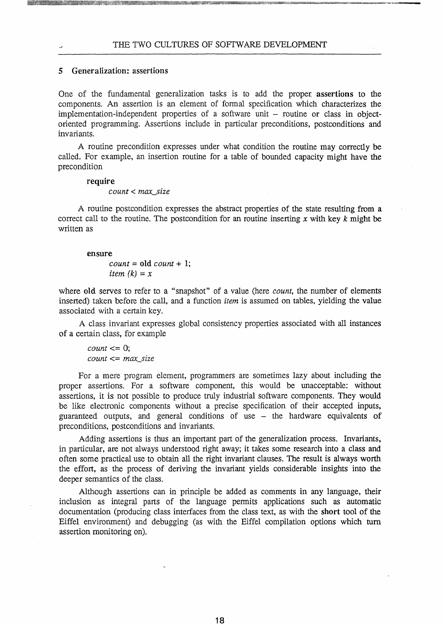### 5 Generalization: assertions

One of the fundamental generalization tasks is to add the proper, assertions to the components. An assertion is an element of formal specification which characterizes the  $implementation-independent properties of a software unit – routine or class in object$ oriented programming. Assertions include in particular preconditions, postconditions and invariants.

A routine precondition expresses under what condition the routine may correctly be called. For example, an insertion routine for a table of bounded capacity might have the precondition

#### require

#### *count* < *max\_size*

A routine postcondition expresses the abstract properties of the state resulting from a correct call to the routine. The postcondition for an routine inserting  $x$  with key  $k$  might be written as

#### ensure

 $count = old$  *count* + 1; *item*  $(k) = x$ 

where old serves to refer to a "snapshot" of a value (here *count,* the number of elements inserted) taken before the call, and a function *item* is assumed on tables, yielding the value associated with a certain key.

A class invariant expresses global consistency properties associated with all instances of a certain class, for example

 $count \leq 0$ ; *count* <= *max\_size* 

For a mere program element, programmers are sometimes lazy about including the proper assertions. For a software component, this would be unacceptable: without assertions, it is not possible to produce truly industrial software components. They would be like electronic components without a precise specification of their accepted inputs, guaranteed outputs, and general conditions of use - the hardware equivalents of preconditions, postconditions and invariants.

Adding assertions is thus an important part of the generalization process. Invariants, in particular, are not always understood right away; it takes some research into a class and often some practical use to obtain all the right invariant clauses. The result is always worth the effort, as the process of deriving the invariant yields considerable insights into the deeper semantics of the class.

Although assertions can in principle be added as comments in any language, their inclusion as integral parts of the language permits applications such as automatic documentation (producing class interfaces from the class text, as with the short tool of the Eiffel environment) and debugging (as with the Eiffel compilation options which tum assertion monitoring on).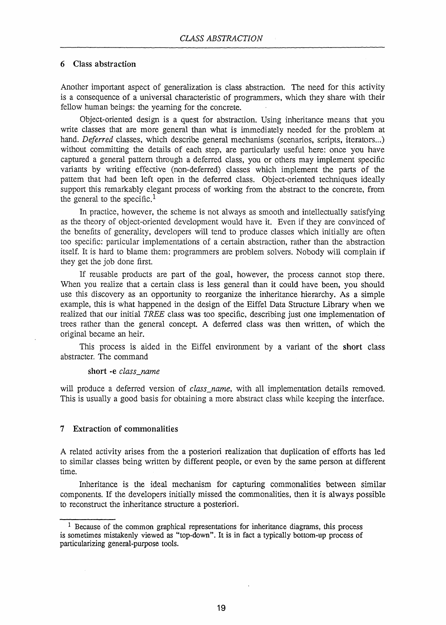## 6 Class abstraction

Another important aspect of generalization is class abstraction. The need for this activity is a consequence of a universal characteristic of programmers, which they share with their fellow human beings: the yearning for the concrete.

Object-oriented design is a quest for abstraction. Using inheritance means that you write classes that are more general than what is immediately needed for the problem at hand. *Deferred* classes, which describe general mechanisms (scenarios, scripts, iterators...) without committing the details of each step, are particularly useful here: once you have captured a general pattern through a deferred class, you or others may implement specific variants by writing effective (non-deferred) classes which implement the parts of the pattern that had been left open in the deferred class. Object-oriented techniques ideally support this remarkably elegant process of working from the abstract to the concrete, from the general to the specific.<sup>1</sup>

In practice, however, the scheme is not always as smooth and intellectually satisfying as the theory of object-oriented development would have it. Even if they are convinced of the benefits of generality, developers will tend to produce classes which initially are often too specific: particular implementations of a certain abstraction, rather than 1he abstraction itself. It is hard to blame them: programmers are problem solvers. Nobody will complain if they get the job done first.

If reusable products are part of the goal, however, the process cannot stop there. When you realize that a certain class is less general than it could have been, you should use this discovery as an opportunity to reorganize the inheritance hierarchy. As a simple example, this is what happened in the design of the Eiffel Data Structure Library when we realized that our initial *TREE* class was too specific, describing just one implementation of trees rather than the general concept. A deferred class was then written, of which the original became an heir.

This process is aided in the Eiffel environment by a variant of the short class abstracter. The command

short -e *class\_name* 

will produce a deferred version of *class\_name,* with all implementation details removed. This is usually a good basis for obtaining a more abstract class while keeping the interface.

### 7 Extraction of commonalities

A related activity arises from the a posteriori realization that duplication of efforts has led to similar classes being written by different people, or even by the same person at different time.

Inheritance is the ideal mechanism for capturing commonalities between similar components. If the developers initially missed the commonalities, then it is always possible to reconstruct the inheritance structure a posteriori.

<sup>&</sup>lt;sup>1</sup> Because of the common graphical representations for inheritance diagrams, this process is sometimes mistakenly viewed as "top-down". It is in fact a typically bottom-up process of particularizing general-purpose tools.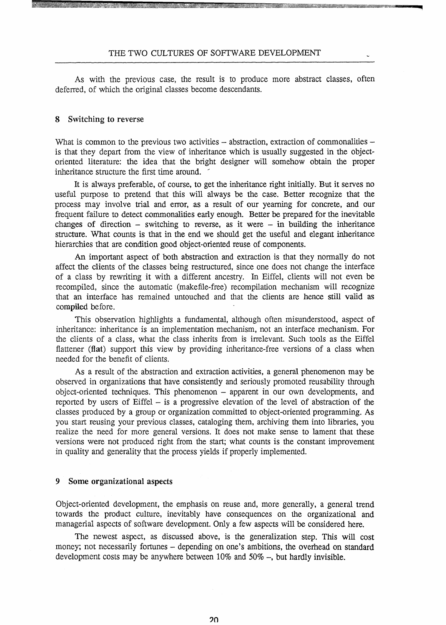As with the previous case, the result is to produce more abstract classes, often deferred, of which the original classes become descendants.

#### 8 Switching to reverse

What is common to the previous two activities  $-$  abstraction, extraction of commonalities  $$ is that they depart from the view of inheritance which is usually suggested in the objectoriented literature: the idea that the bright designer will somehow obtain the proper inheritance structure the first time around. <sup>~</sup>

It is always preferable, of course, to get the inheritance right initially. But it serves no useful purpose to pretend that this will always be the case. Better recognize that the process may involve trial and error, as a result of our yearning for concrete, and our frequent failure to detect commonalities early enough. Better be prepared for the inevitable changes of direction  $-$  switching to reverse, as it were  $-$  in building the inheritance structure. What counts is that in the end we should get the useful and elegant inheritance hierarchies that are condition good object-oriented reuse of components.

An important aspect of both abstraction and extraction is that they normally do not affect the clients of the classes being restructured, since one does not change the interface of a class by rewriting it with a different ancestry. In Eiffel, clients will not even be recompiled, since the automatic (makefile-free) recompilation mechanism will recognize that an interface has remained untouched and that the clients are hence still valid as compiled before.

This observation highlights a fundamental, although often misunderstood, aspect of inheritance: inheritance is an implementation mechanism, not an interface mechanism. For the clients of a class, what the class inherits from is irrelevant. Such tools as the Eiffel flattener (flat) support this view by providing inheritance-free versions of a class when needed for the benefit of clients.

As a result of the abstraction and extraction activities, a general phenomenon may be observed in organizations that have consistently and seriously promoted reusability through object-oriented techniques. This phenomenon - apparent in our own developments, and reported by users of Eiffel  $-$  is a progressive elevation of the level of abstraction of the classes produced by a group or organization committed to object-oriented programming. As you start reusing your previous classes, cataloging them, archiving them into libraries, you realize the need for more general versions. It does not make sense to lament that these versions were not produced right from the start; what counts is the constant improvement in quality and generality that the process yields if properly implemented.

### 9 Some organizational aspects

Object-oriented development, the emphasis on reuse and, more generally, a general trend towards the product culture, inevitably have consequences on the organizational and managerial aspects of software development. Only a few aspects will be considered here.

The newest aspect, as discussed above, is the generalization step. This will cost money; not necessarily fortunes - depending on one's ambitions, the overhead on standard development costs may be anywhere between 10% and 50% -, but hardly invisible.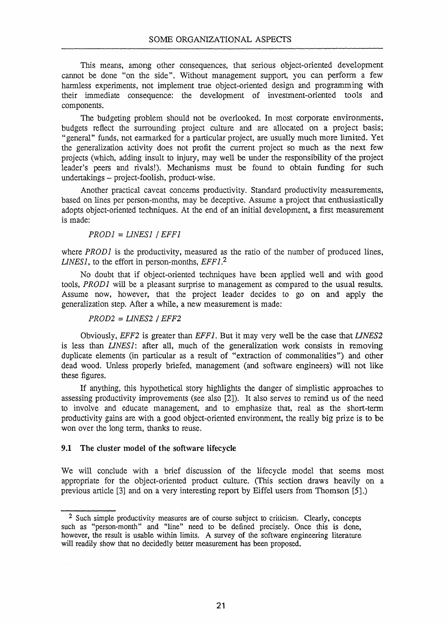This means, among other consequences, that serious object-oriented development cannot be done "on the side". Without management support, you can perfonn a few hannless experiments, not implement true object-oriented design and programming with their immediate consequence: the development of investment-oriented tools and components.

The budgeting problem should not be overlooked. In most corporate environments, budgets reflect the surrounding project culture and are allocated on a project basis; "general" funds, not earmarked for a particular project, are usually much more limited. Yet the generalization activity does not profit the current project so much as the next few projects (which, adding insult to injury, may well be under the responsibility of the project leader's peers and rivals!). Mechanisms must be found to obtain funding for such undertakings - project-foolish, product-wise.

Another practical caveat concerns productivity. Standard productivity measurements, based on lines per person-months, may be deceptive. Assume a project that enthusiastically adopts object-oriented techniques. At the end of an initial development, a first measurement is made:

*PROD]* = *LINES]* / *EFF]* 

where *PROD1* is the productivity, measured as the ratio of the number of produced lines, *LINES],* to the effort in person-months, *EFF].2* 

No doubt that if object-oriented techniques have been applied well and with good tools, *PROD]* will be a pleasant surprise to management as compared to the usual results. Assume now, however, that the project leader decides to go on and apply the generalization step. After a while, a new measurement is made:

*PROD2* = *LINES2* / *EFF2* 

Obviously, *EFF2* is greater than *EFF].* But it may very well be the case that *LINES2*  is less than *LINES]:* after all, much of the generalization work consists in removing duplicate elements (in particular as a result of "extraction of commonalities") and other dead wood. Unless properly briefed, management (and software engineers) will not like these figures.

If anything, this hypothetical story highlights the danger of simplistic approaches to assessing productivity improvements (see also [2]). It also serves to remind us of the need to involve and educate management, and to emphasize that, real as the short-tenn productivity gains are with a good Object-oriented environment, the really big prize is to be won over the long term, thanks to reuse.

## 9.1 The cluster model of the software lifecycle

We will conclude with a brief discussion of the lifecycle model that seems most appropriate for the object-oriented product culture. (This section draws heavily on a previous article [3] and on a very interesting report by Eiffel users from Thomson [5J.)

<sup>&</sup>lt;sup>2</sup> Such simple productivity measures are of course subject to criticism. Clearly, concepts such as "person-month" and "line" need to be defined precisely. Once this is done, however, the result is usable within limits. A survey of the software engineering literature will readily show that no decidedly better measurement has been proposed.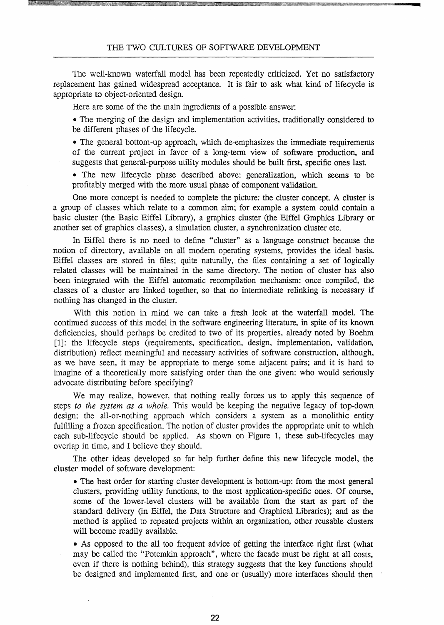The well-known waterfall model has been repeatedly criticized. Yet no satisfactory replacement has gained widespread acceptance. It is fair to ask what kind of lifecycle is appropriate to object-oriented design.

Here are some of the the main ingredients of a possible answer:

• The merging of the design and implementation activities, traditionally considered to be different phases of the lifecycle.

• The general bottom-up approach, which de-emphasizes the immediate requirements of the current project in favor of a long-term view of software production, and suggests that general-purpose utility modules should be built first, specific ones last.

• The new lifecycle phase described above: generalization, which seems to be profitably merged with the more usual phase of component validation.

One more concept is needed to complete the picture: the cluster concept. A cluster is a group of classes which relate to a common aim; for example a system could contain a basic cluster (the Basic Eiffel Library), a graphics cluster (the Eiffel Graphics Library or another set of graphics classes), a simulation cluster, a synchronization cluster etc.

In Biffel there is no need to define "cluster" as a language construct because the notion of directory, available on all modem operating systems, provides the ideal basis. Eiffel classes are stored in files; quite naturally, the files containing a set of logically related classes will be maintained in the same directory. The notion of cluster has also been integrated with the Eiffel automatic recompilation mechanism: once compiled, the classes of a cluster are linked together, so that no intermediate relinking is necessary if nothing has changed in the cluster.

With this notion in mind we can take a fresh look at the waterfall model. The continued success of this model in the software engineering literature, in spite of its known deficiencies, should perhaps be credited to two of its properties, already noted by Boehm [1]: the lifecycle steps (requirements, specification, design, implementation, validation, distribution) reflect meaningful and necessary activities of software construction, although, as we have seen, it may be appropriate to merge some adjacent pairs; and it is hard to imagine of a theoretically more satisfying order than the one given: who would seriously advocate distributing before specifying?

We may realize, however, that nothing really forces us to apply this sequence of steps *to the system as a whole.* This would be keeping the negative legacy of top-down design: the all-or-nothing approach which considers a system as a monolithic entity fulfilling a frozen specification. The notion of cluster provides the appropriate unit to which each sub-lifecycle should be applied. As shown on Figure 1, these sub-lifecycles may overlap in time, and I believe they should.

The other ideas developed so far help further define this new lifecycle model, the cluster model of software development:

• The best order for starting cluster development is bottom-up: from the most general clusters, providing utility functions, to the most application-specific ones. Of course, some of the lower-level clusters will be available from the start as part of the standard delivery (in Eiffel, the Data Structure and Graphical Libraries); and as the method is applied to repeated projects within an organization, other reusable clusters will become readily available.

• As opposed to the all too frequent advice of getting the interface right first (what may be called the "Potemkin approach", where the facade must be right at all costs, even if there is nothing behind), this strategy suggests that the key functions should be designed and implemented first, and one or (usually) more interfaces should then